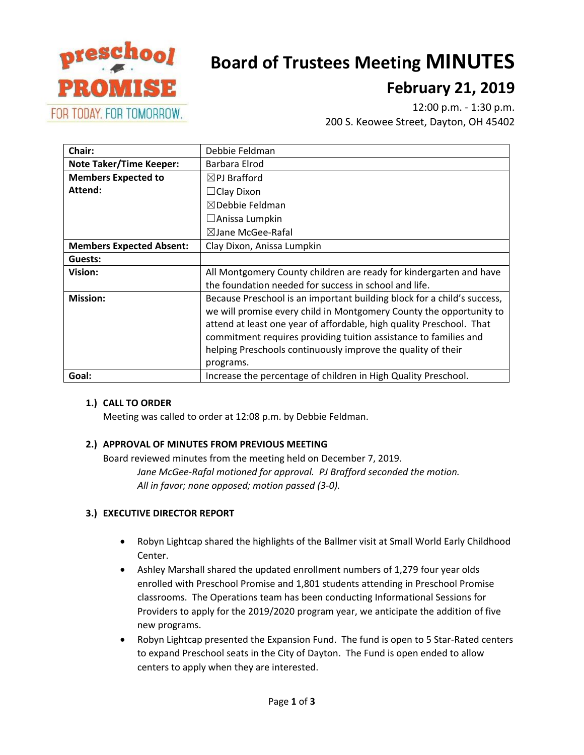

# **Board of Trustees Meeting MINUTES**

## **February 21, 2019**

12:00 p.m. - 1:30 p.m. 200 S. Keowee Street, Dayton, OH 45402

| Chair:                          | Debbie Feldman                                                          |
|---------------------------------|-------------------------------------------------------------------------|
| <b>Note Taker/Time Keeper:</b>  | Barbara Elrod                                                           |
| <b>Members Expected to</b>      | $\boxtimes$ PJ Brafford                                                 |
| Attend:                         | $\Box$ Clay Dixon                                                       |
|                                 | $\boxtimes$ Debbie Feldman                                              |
|                                 | $\Box$ Anissa Lumpkin                                                   |
|                                 | $\boxtimes$ Jane McGee-Rafal                                            |
| <b>Members Expected Absent:</b> | Clay Dixon, Anissa Lumpkin                                              |
| Guests:                         |                                                                         |
| Vision:                         | All Montgomery County children are ready for kindergarten and have      |
|                                 | the foundation needed for success in school and life.                   |
| <b>Mission:</b>                 | Because Preschool is an important building block for a child's success, |
|                                 | we will promise every child in Montgomery County the opportunity to     |
|                                 | attend at least one year of affordable, high quality Preschool. That    |
|                                 | commitment requires providing tuition assistance to families and        |
|                                 | helping Preschools continuously improve the quality of their            |
|                                 | programs.                                                               |
| Goal:                           | Increase the percentage of children in High Quality Preschool.          |

## **1.) CALL TO ORDER**

Meeting was called to order at 12:08 p.m. by Debbie Feldman.

## **2.) APPROVAL OF MINUTES FROM PREVIOUS MEETING**

Board reviewed minutes from the meeting held on December 7, 2019. *Jane McGee-Rafal motioned for approval. PJ Brafford seconded the motion. All in favor; none opposed; motion passed (3-0).*

## **3.) EXECUTIVE DIRECTOR REPORT**

- Robyn Lightcap shared the highlights of the Ballmer visit at Small World Early Childhood Center.
- Ashley Marshall shared the updated enrollment numbers of 1,279 four year olds enrolled with Preschool Promise and 1,801 students attending in Preschool Promise classrooms. The Operations team has been conducting Informational Sessions for Providers to apply for the 2019/2020 program year, we anticipate the addition of five new programs.
- Robyn Lightcap presented the Expansion Fund. The fund is open to 5 Star-Rated centers to expand Preschool seats in the City of Dayton. The Fund is open ended to allow centers to apply when they are interested.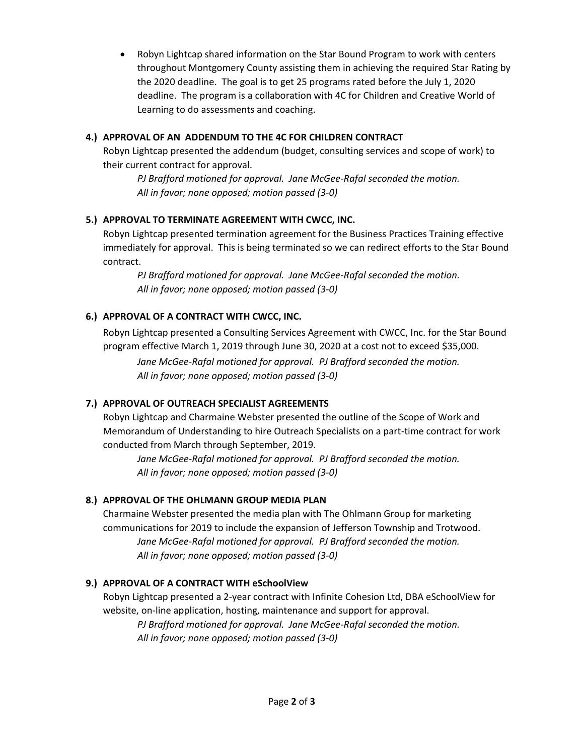Robyn Lightcap shared information on the Star Bound Program to work with centers throughout Montgomery County assisting them in achieving the required Star Rating by the 2020 deadline. The goal is to get 25 programs rated before the July 1, 2020 deadline. The program is a collaboration with 4C for Children and Creative World of Learning to do assessments and coaching.

## **4.) APPROVAL OF AN ADDENDUM TO THE 4C FOR CHILDREN CONTRACT**

Robyn Lightcap presented the addendum (budget, consulting services and scope of work) to their current contract for approval.

*PJ Brafford motioned for approval. Jane McGee-Rafal seconded the motion. All in favor; none opposed; motion passed (3-0)*

## **5.) APPROVAL TO TERMINATE AGREEMENT WITH CWCC, INC.**

Robyn Lightcap presented termination agreement for the Business Practices Training effective immediately for approval. This is being terminated so we can redirect efforts to the Star Bound contract.

*PJ Brafford motioned for approval. Jane McGee-Rafal seconded the motion. All in favor; none opposed; motion passed (3-0)*

## **6.) APPROVAL OF A CONTRACT WITH CWCC, INC.**

Robyn Lightcap presented a Consulting Services Agreement with CWCC, Inc. for the Star Bound program effective March 1, 2019 through June 30, 2020 at a cost not to exceed \$35,000.

*Jane McGee-Rafal motioned for approval. PJ Brafford seconded the motion. All in favor; none opposed; motion passed (3-0)*

## **7.) APPROVAL OF OUTREACH SPECIALIST AGREEMENTS**

Robyn Lightcap and Charmaine Webster presented the outline of the Scope of Work and Memorandum of Understanding to hire Outreach Specialists on a part-time contract for work conducted from March through September, 2019.

*Jane McGee-Rafal motioned for approval. PJ Brafford seconded the motion. All in favor; none opposed; motion passed (3-0)*

## **8.) APPROVAL OF THE OHLMANN GROUP MEDIA PLAN**

Charmaine Webster presented the media plan with The Ohlmann Group for marketing communications for 2019 to include the expansion of Jefferson Township and Trotwood. *Jane McGee-Rafal motioned for approval. PJ Brafford seconded the motion. All in favor; none opposed; motion passed (3-0)*

## **9.) APPROVAL OF A CONTRACT WITH eSchoolView**

Robyn Lightcap presented a 2-year contract with Infinite Cohesion Ltd, DBA eSchoolView for website, on-line application, hosting, maintenance and support for approval.

*PJ Brafford motioned for approval. Jane McGee-Rafal seconded the motion. All in favor; none opposed; motion passed (3-0)*